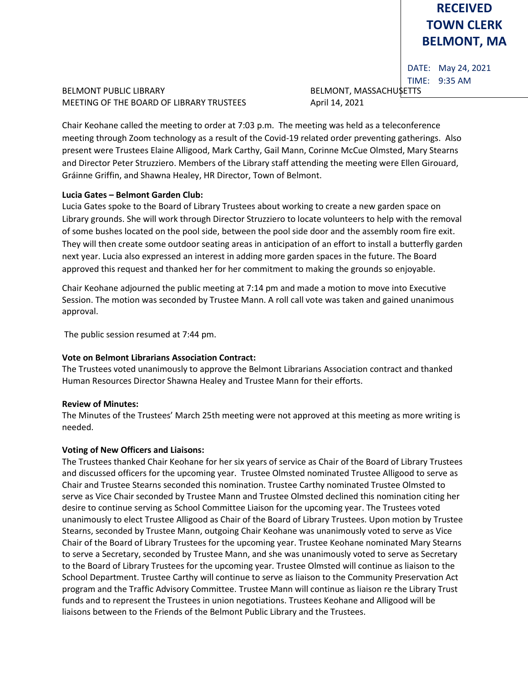# **RECEIVED TOWN CLERK BELMONT, MA**

DATE: May 24, 2021 TIME: 9:35 AM

BELMONT PUBLIC LIBRARY **BELMONT, MASSACHUSETTS** MEETING OF THE BOARD OF LIBRARY TRUSTEES April 14, 2021

Chair Keohane called the meeting to order at 7:03 p.m. The meeting was held as a teleconference meeting through Zoom technology as a result of the Covid-19 related order preventing gatherings. Also present were Trustees Elaine Alligood, Mark Carthy, Gail Mann, Corinne McCue Olmsted, Mary Stearns and Director Peter Struzziero. Members of the Library staff attending the meeting were Ellen Girouard, Gráinne Griffin, and Shawna Healey, HR Director, Town of Belmont.

## **Lucia Gates – Belmont Garden Club:**

Lucia Gates spoke to the Board of Library Trustees about working to create a new garden space on Library grounds. She will work through Director Struzziero to locate volunteers to help with the removal of some bushes located on the pool side, between the pool side door and the assembly room fire exit. They will then create some outdoor seating areas in anticipation of an effort to install a butterfly garden next year. Lucia also expressed an interest in adding more garden spaces in the future. The Board approved this request and thanked her for her commitment to making the grounds so enjoyable.

Chair Keohane adjourned the public meeting at 7:14 pm and made a motion to move into Executive Session. The motion was seconded by Trustee Mann. A roll call vote was taken and gained unanimous approval.

The public session resumed at 7:44 pm.

# **Vote on Belmont Librarians Association Contract:**

The Trustees voted unanimously to approve the Belmont Librarians Association contract and thanked Human Resources Director Shawna Healey and Trustee Mann for their efforts.

# **Review of Minutes:**

The Minutes of the Trustees' March 25th meeting were not approved at this meeting as more writing is needed.

# **Voting of New Officers and Liaisons:**

The Trustees thanked Chair Keohane for her six years of service as Chair of the Board of Library Trustees and discussed officers for the upcoming year. Trustee Olmsted nominated Trustee Alligood to serve as Chair and Trustee Stearns seconded this nomination. Trustee Carthy nominated Trustee Olmsted to serve as Vice Chair seconded by Trustee Mann and Trustee Olmsted declined this nomination citing her desire to continue serving as School Committee Liaison for the upcoming year. The Trustees voted unanimously to elect Trustee Alligood as Chair of the Board of Library Trustees. Upon motion by Trustee Stearns, seconded by Trustee Mann, outgoing Chair Keohane was unanimously voted to serve as Vice Chair of the Board of Library Trustees for the upcoming year. Trustee Keohane nominated Mary Stearns to serve a Secretary, seconded by Trustee Mann, and she was unanimously voted to serve as Secretary to the Board of Library Trustees for the upcoming year. Trustee Olmsted will continue as liaison to the School Department. Trustee Carthy will continue to serve as liaison to the Community Preservation Act program and the Traffic Advisory Committee. Trustee Mann will continue as liaison re the Library Trust funds and to represent the Trustees in union negotiations. Trustees Keohane and Alligood will be liaisons between to the Friends of the Belmont Public Library and the Trustees.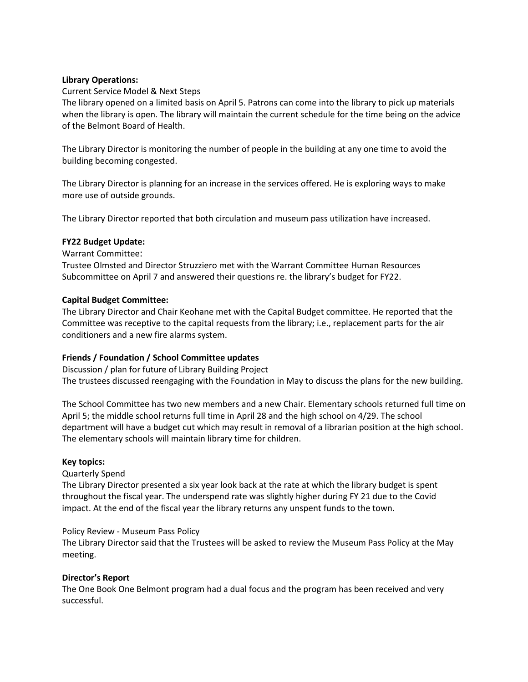## **Library Operations:**

## Current Service Model & Next Steps

The library opened on a limited basis on April 5. Patrons can come into the library to pick up materials when the library is open. The library will maintain the current schedule for the time being on the advice of the Belmont Board of Health.

The Library Director is monitoring the number of people in the building at any one time to avoid the building becoming congested.

The Library Director is planning for an increase in the services offered. He is exploring ways to make more use of outside grounds.

The Library Director reported that both circulation and museum pass utilization have increased.

## **FY22 Budget Update:**

#### Warrant Committee:

Trustee Olmsted and Director Struzziero met with the Warrant Committee Human Resources Subcommittee on April 7 and answered their questions re. the library's budget for FY22.

## **Capital Budget Committee:**

The Library Director and Chair Keohane met with the Capital Budget committee. He reported that the Committee was receptive to the capital requests from the library; i.e., replacement parts for the air conditioners and a new fire alarms system.

## **Friends / Foundation / School Committee updates**

Discussion / plan for future of Library Building Project The trustees discussed reengaging with the Foundation in May to discuss the plans for the new building.

The School Committee has two new members and a new Chair. Elementary schools returned full time on April 5; the middle school returns full time in April 28 and the high school on 4/29. The school department will have a budget cut which may result in removal of a librarian position at the high school. The elementary schools will maintain library time for children.

#### **Key topics:**

#### Quarterly Spend

The Library Director presented a six year look back at the rate at which the library budget is spent throughout the fiscal year. The underspend rate was slightly higher during FY 21 due to the Covid impact. At the end of the fiscal year the library returns any unspent funds to the town.

#### Policy Review - Museum Pass Policy

The Library Director said that the Trustees will be asked to review the Museum Pass Policy at the May meeting.

#### **Director's Report**

The One Book One Belmont program had a dual focus and the program has been received and very successful.